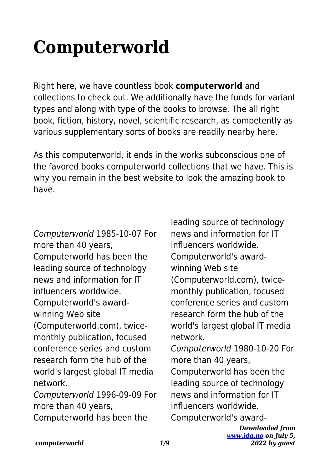## **Computerworld**

Right here, we have countless book **computerworld** and collections to check out. We additionally have the funds for variant types and along with type of the books to browse. The all right book, fiction, history, novel, scientific research, as competently as various supplementary sorts of books are readily nearby here.

As this computerworld, it ends in the works subconscious one of the favored books computerworld collections that we have. This is why you remain in the best website to look the amazing book to have.

Computerworld 1985-10-07 For more than 40 years, Computerworld has been the leading source of technology news and information for IT influencers worldwide. Computerworld's awardwinning Web site (Computerworld.com), twicemonthly publication, focused conference series and custom research form the hub of the world's largest global IT media network. Computerworld 1996-09-09 For more than 40 years,

Computerworld has been the

leading source of technology news and information for IT influencers worldwide. Computerworld's awardwinning Web site (Computerworld.com), twicemonthly publication, focused conference series and custom research form the hub of the world's largest global IT media network. Computerworld 1980-10-20 For more than 40 years,

Computerworld has been the leading source of technology news and information for IT influencers worldwide. Computerworld's award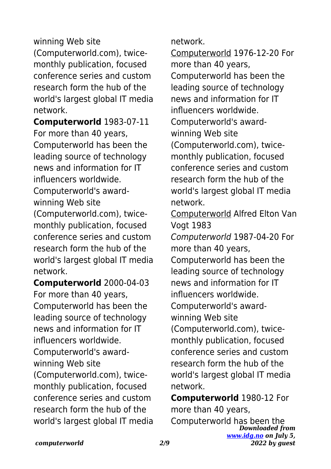winning Web site (Computerworld.com), twicemonthly publication, focused conference series and custom research form the hub of the world's largest global IT media network.

**Computerworld** 1983-07-11 For more than 40 years, Computerworld has been the leading source of technology news and information for IT influencers worldwide. Computerworld's award-

winning Web site

(Computerworld.com), twicemonthly publication, focused conference series and custom research form the hub of the world's largest global IT media network.

**Computerworld** 2000-04-03 For more than 40 years, Computerworld has been the leading source of technology news and information for IT influencers worldwide. Computerworld's awardwinning Web site (Computerworld.com), twicemonthly publication, focused conference series and custom research form the hub of the world's largest global IT media network.

Computerworld 1976-12-20 For more than 40 years, Computerworld has been the leading source of technology news and information for IT influencers worldwide. Computerworld's awardwinning Web site (Computerworld.com), twicemonthly publication, focused conference series and custom research form the hub of the world's largest global IT media network. Computerworld Alfred Elton Van

Vogt 1983

Computerworld 1987-04-20 For more than 40 years,

Computerworld has been the leading source of technology news and information for IT influencers worldwide. Computerworld's awardwinning Web site

(Computerworld.com), twicemonthly publication, focused conference series and custom research form the hub of the world's largest global IT media network.

*Downloaded from [www.idg.no](http://www.idg.no) on July 5,* **Computerworld** 1980-12 For more than 40 years, Computerworld has been the

*2022 by guest*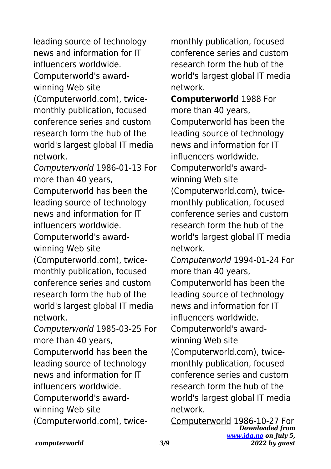leading source of technology news and information for IT influencers worldwide.

Computerworld's awardwinning Web site

(Computerworld.com), twicemonthly publication, focused conference series and custom research form the hub of the world's largest global IT media network.

Computerworld 1986-01-13 For more than 40 years,

Computerworld has been the leading source of technology news and information for IT influencers worldwide.

Computerworld's awardwinning Web site

(Computerworld.com), twicemonthly publication, focused conference series and custom research form the hub of the world's largest global IT media network.

Computerworld 1985-03-25 For more than 40 years,

Computerworld has been the leading source of technology news and information for IT influencers worldwide. Computerworld's award-

winning Web site

(Computerworld.com), twice-

monthly publication, focused conference series and custom research form the hub of the world's largest global IT media network.

**Computerworld** 1988 For more than 40 years, Computerworld has been the leading source of technology news and information for IT influencers worldwide. Computerworld's awardwinning Web site (Computerworld.com), twicemonthly publication, focused conference series and custom research form the hub of the world's largest global IT media network.

Computerworld 1994-01-24 For more than 40 years, Computerworld has been the leading source of technology news and information for IT influencers worldwide.

Computerworld's awardwinning Web site

(Computerworld.com), twicemonthly publication, focused conference series and custom research form the hub of the world's largest global IT media network.

*Downloaded from [www.idg.no](http://www.idg.no) on July 5, 2022 by guest* Computerworld 1986-10-27 For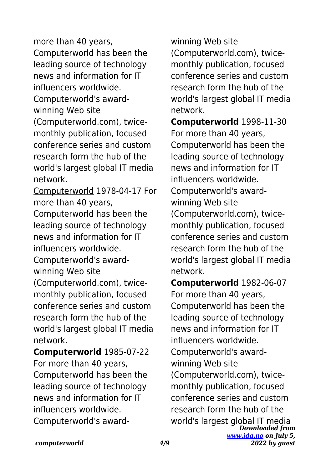more than 40 years, Computerworld has been the leading source of technology news and information for IT influencers worldwide.

Computerworld's awardwinning Web site

(Computerworld.com), twicemonthly publication, focused conference series and custom research form the hub of the world's largest global IT media network.

Computerworld 1978-04-17 For more than 40 years,

Computerworld has been the leading source of technology news and information for IT influencers worldwide.

Computerworld's awardwinning Web site

(Computerworld.com), twicemonthly publication, focused conference series and custom research form the hub of the world's largest global IT media network.

**Computerworld** 1985-07-22 For more than 40 years, Computerworld has been the leading source of technology news and information for IT influencers worldwide. Computerworld's awardwinning Web site (Computerworld.com), twicemonthly publication, focused conference series and custom research form the hub of the world's largest global IT media network.

**Computerworld** 1998-11-30 For more than 40 years, Computerworld has been the leading source of technology news and information for IT influencers worldwide. Computerworld's awardwinning Web site (Computerworld.com), twicemonthly publication, focused conference series and custom research form the hub of the world's largest global IT media network.

*Downloaded from [www.idg.no](http://www.idg.no) on July 5, 2022 by guest* **Computerworld** 1982-06-07 For more than 40 years, Computerworld has been the leading source of technology news and information for IT influencers worldwide. Computerworld's awardwinning Web site (Computerworld.com), twicemonthly publication, focused conference series and custom research form the hub of the world's largest global IT media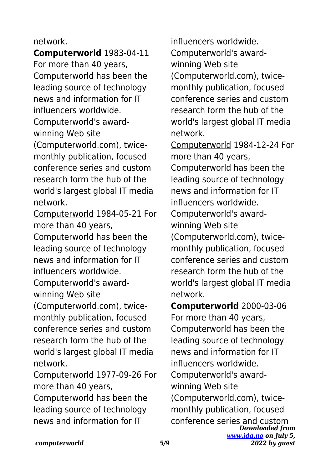## network.

**Computerworld** 1983-04-11 For more than 40 years, Computerworld has been the leading source of technology news and information for IT influencers worldwide. Computerworld's awardwinning Web site

(Computerworld.com), twicemonthly publication, focused conference series and custom research form the hub of the world's largest global IT media network.

Computerworld 1984-05-21 For more than 40 years,

Computerworld has been the leading source of technology news and information for IT influencers worldwide. Computerworld's award-

winning Web site

(Computerworld.com), twicemonthly publication, focused conference series and custom research form the hub of the world's largest global IT media network.

Computerworld 1977-09-26 For more than 40 years,

Computerworld has been the leading source of technology news and information for IT

influencers worldwide. Computerworld's awardwinning Web site (Computerworld.com), twicemonthly publication, focused conference series and custom research form the hub of the world's largest global IT media network.

Computerworld 1984-12-24 For more than 40 years, Computerworld has been the leading source of technology news and information for IT influencers worldwide. Computerworld's awardwinning Web site (Computerworld.com), twicemonthly publication, focused conference series and custom research form the hub of the world's largest global IT media network.

*Downloaded from [www.idg.no](http://www.idg.no) on July 5, 2022 by guest* **Computerworld** 2000-03-06 For more than 40 years, Computerworld has been the leading source of technology news and information for IT influencers worldwide. Computerworld's awardwinning Web site (Computerworld.com), twicemonthly publication, focused conference series and custom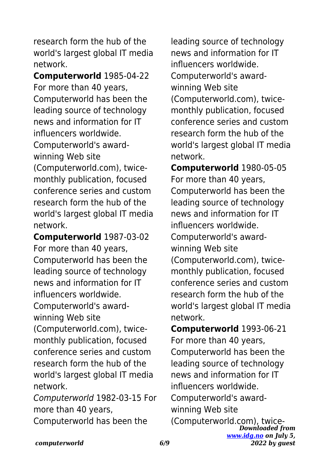research form the hub of the world's largest global IT media network.

**Computerworld** 1985-04-22 For more than 40 years, Computerworld has been the leading source of technology news and information for IT influencers worldwide. Computerworld's awardwinning Web site (Computerworld.com), twicemonthly publication, focused conference series and custom research form the hub of the world's largest global IT media network.

**Computerworld** 1987-03-02 For more than 40 years, Computerworld has been the leading source of technology news and information for IT influencers worldwide. Computerworld's award-

winning Web site

(Computerworld.com), twicemonthly publication, focused conference series and custom research form the hub of the world's largest global IT media network.

Computerworld 1982-03-15 For more than 40 years,

Computerworld has been the

leading source of technology news and information for IT influencers worldwide. Computerworld's awardwinning Web site (Computerworld.com), twicemonthly publication, focused conference series and custom research form the hub of the world's largest global IT media network.

**Computerworld** 1980-05-05 For more than 40 years, Computerworld has been the leading source of technology news and information for IT influencers worldwide. Computerworld's awardwinning Web site (Computerworld.com), twicemonthly publication, focused conference series and custom research form the hub of the world's largest global IT media network.

*Downloaded from* **Computerworld** 1993-06-21 For more than 40 years, Computerworld has been the leading source of technology news and information for IT influencers worldwide. Computerworld's awardwinning Web site (Computerworld.com), twice-

*[www.idg.no](http://www.idg.no) on July 5, 2022 by guest*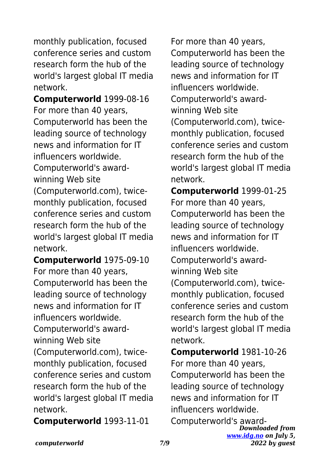monthly publication, focused conference series and custom research form the hub of the world's largest global IT media network.

**Computerworld** 1999-08-16 For more than 40 years, Computerworld has been the leading source of technology news and information for IT influencers worldwide.

Computerworld's awardwinning Web site

(Computerworld.com), twicemonthly publication, focused conference series and custom research form the hub of the world's largest global IT media network.

**Computerworld** 1975-09-10 For more than 40 years, Computerworld has been the leading source of technology news and information for IT influencers worldwide. Computerworld's awardwinning Web site (Computerworld.com), twicemonthly publication, focused conference series and custom research form the hub of the world's largest global IT media network.

**Computerworld** 1993-11-01

For more than 40 years, Computerworld has been the leading source of technology news and information for IT influencers worldwide. Computerworld's awardwinning Web site (Computerworld.com), twicemonthly publication, focused conference series and custom research form the hub of the world's largest global IT media network.

**Computerworld** 1999-01-25 For more than 40 years, Computerworld has been the leading source of technology news and information for IT influencers worldwide. Computerworld's awardwinning Web site (Computerworld.com), twicemonthly publication, focused conference series and custom research form the hub of the world's largest global IT media network.

**Computerworld** 1981-10-26 For more than 40 years, Computerworld has been the leading source of technology news and information for IT influencers worldwide. Computerworld's award-

*Downloaded from [www.idg.no](http://www.idg.no) on July 5, 2022 by guest*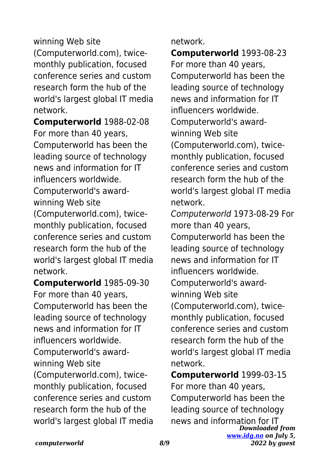## winning Web site

(Computerworld.com), twicemonthly publication, focused conference series and custom research form the hub of the world's largest global IT media network.

**Computerworld** 1988-02-08 For more than 40 years, Computerworld has been the leading source of technology news and information for IT influencers worldwide. Computerworld's award-

winning Web site

(Computerworld.com), twicemonthly publication, focused conference series and custom research form the hub of the world's largest global IT media network.

**Computerworld** 1985-09-30 For more than 40 years, Computerworld has been the leading source of technology news and information for IT influencers worldwide. Computerworld's awardwinning Web site (Computerworld.com), twicemonthly publication, focused conference series and custom research form the hub of the world's largest global IT media

## network.

**Computerworld** 1993-08-23 For more than 40 years, Computerworld has been the leading source of technology news and information for IT influencers worldwide. Computerworld's awardwinning Web site (Computerworld.com), twicemonthly publication, focused conference series and custom research form the hub of the world's largest global IT media network.

Computerworld 1973-08-29 For more than 40 years, Computerworld has been the leading source of technology news and information for IT influencers worldwide. Computerworld's awardwinning Web site (Computerworld.com), twicemonthly publication, focused conference series and custom research form the hub of the world's largest global IT media network.

*Downloaded from [www.idg.no](http://www.idg.no) on July 5, 2022 by guest* **Computerworld** 1999-03-15 For more than 40 years, Computerworld has been the leading source of technology news and information for IT